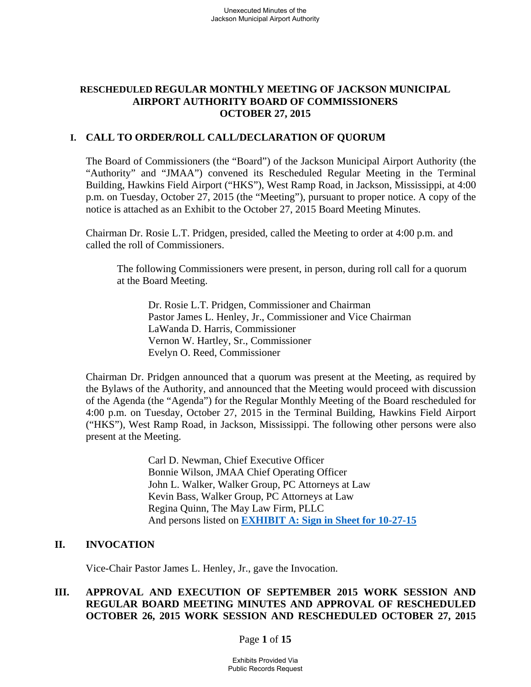# **RESCHEDULED REGULAR MONTHLY MEETING OF JACKSON MUNICIPAL AIRPORT AUTHORITY BOARD OF COMMISSIONERS OCTOBER 27, 2015**

## **I. CALL TO ORDER/ROLL CALL/DECLARATION OF QUORUM**

The Board of Commissioners (the "Board") of the Jackson Municipal Airport Authority (the "Authority" and "JMAA") convened its Rescheduled Regular Meeting in the Terminal Building, Hawkins Field Airport ("HKS"), West Ramp Road, in Jackson, Mississippi, at 4:00 p.m. on Tuesday, October 27, 2015 (the "Meeting"), pursuant to proper notice. A copy of the notice is attached as an Exhibit to the October 27, 2015 Board Meeting Minutes.

Chairman Dr. Rosie L.T. Pridgen, presided, called the Meeting to order at 4:00 p.m. and called the roll of Commissioners.

The following Commissioners were present, in person, during roll call for a quorum at the Board Meeting.

 Dr. Rosie L.T. Pridgen, Commissioner and Chairman Pastor James L. Henley, Jr., Commissioner and Vice Chairman LaWanda D. Harris, Commissioner Vernon W. Hartley, Sr., Commissioner Evelyn O. Reed, Commissioner

Chairman Dr. Pridgen announced that a quorum was present at the Meeting, as required by the Bylaws of the Authority, and announced that the Meeting would proceed with discussion of the Agenda (the "Agenda") for the Regular Monthly Meeting of the Board rescheduled for 4:00 p.m. on Tuesday, October 27, 2015 in the Terminal Building, Hawkins Field Airport ("HKS"), West Ramp Road, in Jackson, Mississippi. The following other persons were also present at the Meeting.

> Carl D. Newman, Chief Executive Officer Bonnie Wilson, JMAA Chief Operating Officer John L. Walker, Walker Group, PC Attorneys at Law Kevin Bass, Walker Group, PC Attorneys at Law Regina Quinn, The May Law Firm, PLLC And persons listed on **EXHIBIT A: Sign in Sheet for 10-27-15**

### **II. INVOCATION**

Vice-Chair Pastor James L. Henley, Jr., gave the Invocation.

# **III. APPROVAL AND EXECUTION OF SEPTEMBER 2015 WORK SESSION AND REGULAR BOARD MEETING MINUTES AND APPROVAL OF RESCHEDULED OCTOBER 26, 2015 WORK SESSION AND RESCHEDULED OCTOBER 27, 2015**

Page **1** of **15**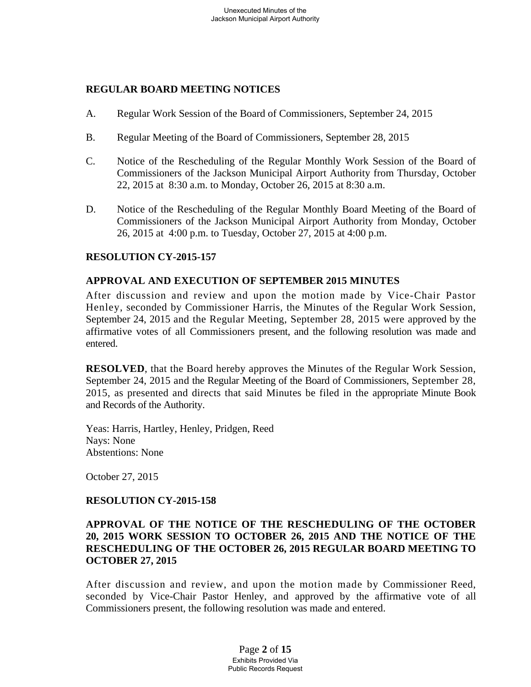## **REGULAR BOARD MEETING NOTICES**

- A. Regular Work Session of the Board of Commissioners, September 24, 2015
- B. Regular Meeting of the Board of Commissioners, September 28, 2015
- C. Notice of the Rescheduling of the Regular Monthly Work Session of the Board of Commissioners of the Jackson Municipal Airport Authority from Thursday, October 22, 2015 at 8:30 a.m. to Monday, October 26, 2015 at 8:30 a.m.
- D. Notice of the Rescheduling of the Regular Monthly Board Meeting of the Board of Commissioners of the Jackson Municipal Airport Authority from Monday, October 26, 2015 at 4:00 p.m. to Tuesday, October 27, 2015 at 4:00 p.m.

## **RESOLUTION CY-2015-157**

## **APPROVAL AND EXECUTION OF SEPTEMBER 2015 MINUTES**

After discussion and review and upon the motion made by Vice-Chair Pastor Henley, seconded by Commissioner Harris, the Minutes of the Regular Work Session, September 24, 2015 and the Regular Meeting, September 28, 2015 were approved by the affirmative votes of all Commissioners present, and the following resolution was made and entered.

**RESOLVED**, that the Board hereby approves the Minutes of the Regular Work Session, September 24, 2015 and the Regular Meeting of the Board of Commissioners, September 28, 2015, as presented and directs that said Minutes be filed in the appropriate Minute Book and Records of the Authority.

Yeas: Harris, Hartley, Henley, Pridgen, Reed Nays: None Abstentions: None

October 27, 2015

### **RESOLUTION CY-2015-158**

## **APPROVAL OF THE NOTICE OF THE RESCHEDULING OF THE OCTOBER 20, 2015 WORK SESSION TO OCTOBER 26, 2015 AND THE NOTICE OF THE RESCHEDULING OF THE OCTOBER 26, 2015 REGULAR BOARD MEETING TO OCTOBER 27, 2015**

After discussion and review, and upon the motion made by Commissioner Reed, seconded by Vice-Chair Pastor Henley, and approved by the affirmative vote of all Commissioners present, the following resolution was made and entered.

> Page **2** of **15** Exhibits Provided Via Public Records Request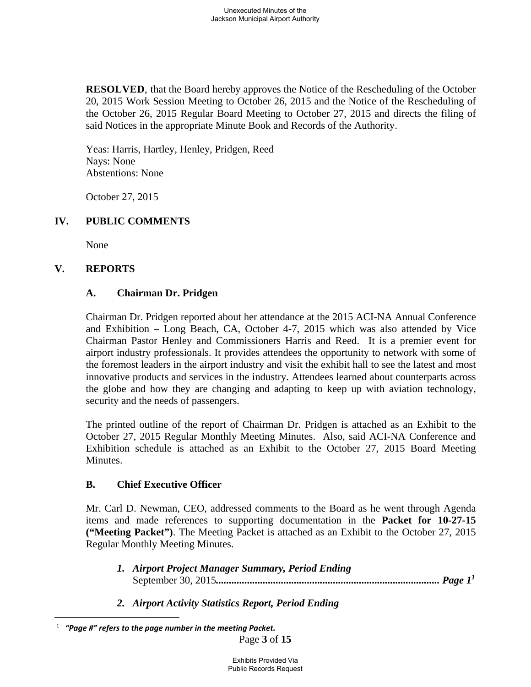**RESOLVED**, that the Board hereby approves the Notice of the Rescheduling of the October 20, 2015 Work Session Meeting to October 26, 2015 and the Notice of the Rescheduling of the October 26, 2015 Regular Board Meeting to October 27, 2015 and directs the filing of said Notices in the appropriate Minute Book and Records of the Authority.

Yeas: Harris, Hartley, Henley, Pridgen, Reed Nays: None Abstentions: None

October 27, 2015

# **IV. PUBLIC COMMENTS**

None

# **V. REPORTS**

 $\overline{a}$ 

# **A. Chairman Dr. Pridgen**

Chairman Dr. Pridgen reported about her attendance at the 2015 ACI-NA Annual Conference and Exhibition – Long Beach, CA, October 4-7, 2015 which was also attended by Vice Chairman Pastor Henley and Commissioners Harris and Reed. It is a premier event for airport industry professionals. It provides attendees the opportunity to network with some of the foremost leaders in the airport industry and visit the exhibit hall to see the latest and most innovative products and services in the industry. Attendees learned about counterparts across the globe and how they are changing and adapting to keep up with aviation technology, security and the needs of passengers.

The printed outline of the report of Chairman Dr. Pridgen is attached as an Exhibit to the October 27, 2015 Regular Monthly Meeting Minutes. Also, said ACI-NA Conference and Exhibition schedule is attached as an Exhibit to the October 27, 2015 Board Meeting Minutes.

# **B. Chief Executive Officer**

Mr. Carl D. Newman, CEO, addressed comments to the Board as he went through Agenda items and made references to supporting documentation in the **Packet for 10-27-15 ("Meeting Packet")**. The Meeting Packet is attached as an Exhibit to the October 27, 2015 Regular Monthly Meeting Minutes.

- *1. Airport Project Manager Summary, Period Ending*  September 30, 2015*...................................................................................... Page 1<sup>1</sup>*
- *2. Airport Activity Statistics Report, Period Ending*

Page **3** of **15** 1  *"Page #" refers to the page number in the meeting Packet.*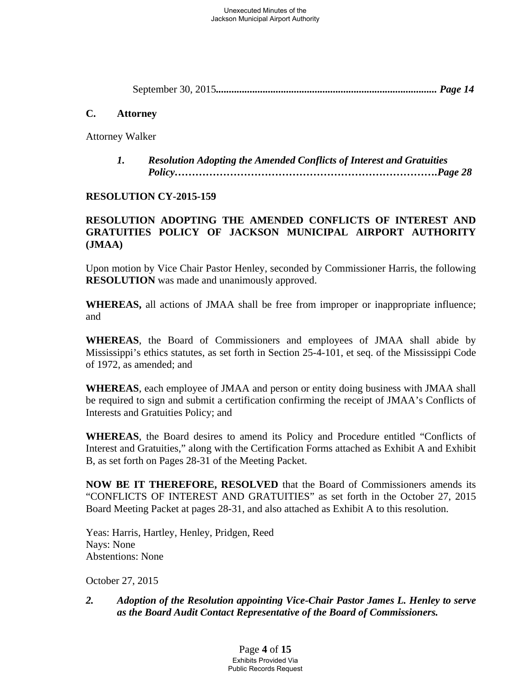September 30, 2015*..................................................................................... Page 14* 

## **C. Attorney**

Attorney Walker

 *1. Resolution Adopting the Amended Conflicts of Interest and Gratuities Policy………………………………………………………………….Page 28* 

# **RESOLUTION CY-2015-159**

# **RESOLUTION ADOPTING THE AMENDED CONFLICTS OF INTEREST AND GRATUITIES POLICY OF JACKSON MUNICIPAL AIRPORT AUTHORITY (JMAA)**

Upon motion by Vice Chair Pastor Henley, seconded by Commissioner Harris, the following **RESOLUTION** was made and unanimously approved.

**WHEREAS,** all actions of JMAA shall be free from improper or inappropriate influence; and

**WHEREAS**, the Board of Commissioners and employees of JMAA shall abide by Mississippi's ethics statutes, as set forth in Section 25-4-101, et seq. of the Mississippi Code of 1972, as amended; and

**WHEREAS**, each employee of JMAA and person or entity doing business with JMAA shall be required to sign and submit a certification confirming the receipt of JMAA's Conflicts of Interests and Gratuities Policy; and

**WHEREAS**, the Board desires to amend its Policy and Procedure entitled "Conflicts of Interest and Gratuities," along with the Certification Forms attached as Exhibit A and Exhibit B, as set forth on Pages 28-31 of the Meeting Packet.

**NOW BE IT THEREFORE, RESOLVED** that the Board of Commissioners amends its "CONFLICTS OF INTEREST AND GRATUITIES" as set forth in the October 27, 2015 Board Meeting Packet at pages 28-31, and also attached as Exhibit A to this resolution.

Yeas: Harris, Hartley, Henley, Pridgen, Reed Nays: None Abstentions: None

October 27, 2015

# *2. Adoption of the Resolution appointing Vice-Chair Pastor James L. Henley to serve as the Board Audit Contact Representative of the Board of Commissioners.*

Page **4** of **15** Exhibits Provided Via Public Records Request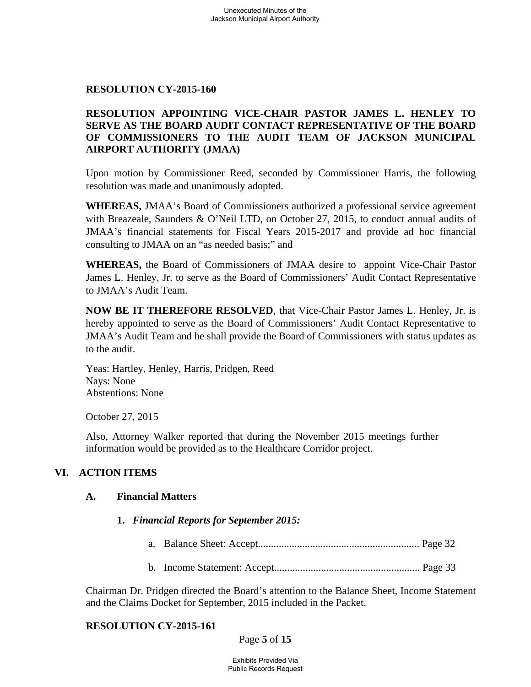### **RESOLUTION CY-2015-160**

# **RESOLUTION APPOINTING VICE-CHAIR PASTOR JAMES L. HENLEY TO SERVE AS THE BOARD AUDIT CONTACT REPRESENTATIVE OF THE BOARD OF COMMISSIONERS TO THE AUDIT TEAM OF JACKSON MUNICIPAL AIRPORT AUTHORITY (JMAA)**

Upon motion by Commissioner Reed, seconded by Commissioner Harris, the following resolution was made and unanimously adopted.

**WHEREAS,** JMAA's Board of Commissioners authorized a professional service agreement with Breazeale, Saunders & O'Neil LTD, on October 27, 2015, to conduct annual audits of JMAA's financial statements for Fiscal Years 2015-2017 and provide ad hoc financial consulting to JMAA on an "as needed basis;" and

**WHEREAS,** the Board of Commissioners of JMAA desire to appoint Vice-Chair Pastor James L. Henley, Jr. to serve as the Board of Commissioners' Audit Contact Representative to JMAA's Audit Team.

**NOW BE IT THEREFORE RESOLVED**, that Vice-Chair Pastor James L. Henley, Jr. is hereby appointed to serve as the Board of Commissioners' Audit Contact Representative to JMAA's Audit Team and he shall provide the Board of Commissioners with status updates as to the audit.

 Yeas: Hartley, Henley, Harris, Pridgen, Reed Nays: None Abstentions: None

October 27, 2015

 Also, Attorney Walker reported that during the November 2015 meetings further information would be provided as to the Healthcare Corridor project.

### **VI. ACTION ITEMS**

### **A. Financial Matters**

#### **1.** *Financial Reports for September 2015:*

- a. Balance Sheet: Accept.............................................................. Page 32
- b. Income Statement: Accept........................................................ Page 33

Chairman Dr. Pridgen directed the Board's attention to the Balance Sheet, Income Statement and the Claims Docket for September, 2015 included in the Packet.

### **RESOLUTION CY-2015-161**

### Page **5** of **15**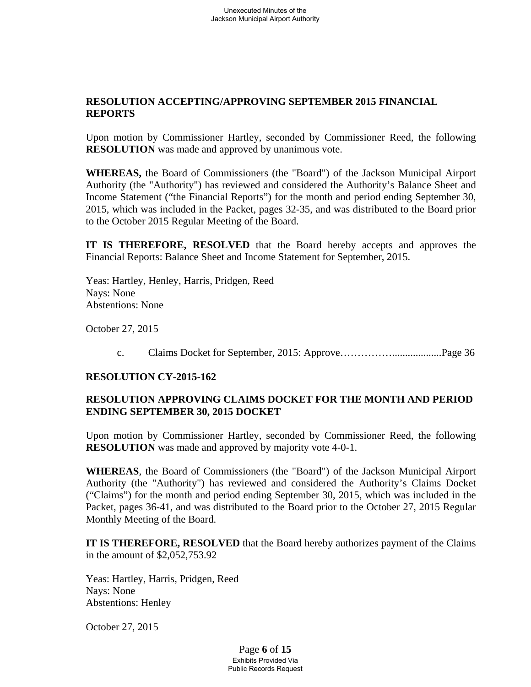# **RESOLUTION ACCEPTING/APPROVING SEPTEMBER 2015 FINANCIAL REPORTS**

Upon motion by Commissioner Hartley, seconded by Commissioner Reed, the following **RESOLUTION** was made and approved by unanimous vote.

**WHEREAS,** the Board of Commissioners (the "Board") of the Jackson Municipal Airport Authority (the "Authority") has reviewed and considered the Authority's Balance Sheet and Income Statement ("the Financial Reports") for the month and period ending September 30, 2015, which was included in the Packet, pages 32-35, and was distributed to the Board prior to the October 2015 Regular Meeting of the Board.

**IT IS THEREFORE, RESOLVED** that the Board hereby accepts and approves the Financial Reports: Balance Sheet and Income Statement for September, 2015.

 Yeas: Hartley, Henley, Harris, Pridgen, Reed Nays: None Abstentions: None

October 27, 2015

c. Claims Docket for September, 2015: Approve……………...................Page 36

### **RESOLUTION CY-2015-162**

# **RESOLUTION APPROVING CLAIMS DOCKET FOR THE MONTH AND PERIOD ENDING SEPTEMBER 30, 2015 DOCKET**

Upon motion by Commissioner Hartley, seconded by Commissioner Reed, the following **RESOLUTION** was made and approved by majority vote 4-0-1.

**WHEREAS**, the Board of Commissioners (the "Board") of the Jackson Municipal Airport Authority (the "Authority") has reviewed and considered the Authority's Claims Docket ("Claims") for the month and period ending September 30, 2015, which was included in the Packet, pages 36-41, and was distributed to the Board prior to the October 27, 2015 Regular Monthly Meeting of the Board.

**IT IS THEREFORE, RESOLVED** that the Board hereby authorizes payment of the Claims in the amount of \$2,052,753.92

Yeas: Hartley, Harris, Pridgen, Reed Nays: None Abstentions: Henley

October 27, 2015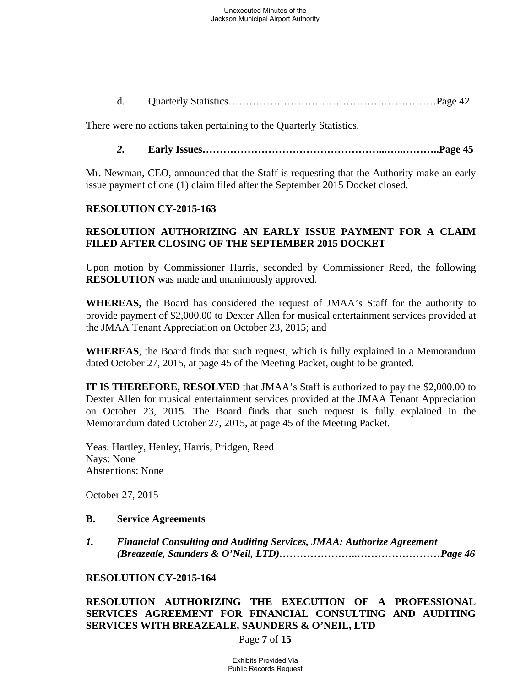d. Quarterly Statistics……………………………………………………Page 42

There were no actions taken pertaining to the Quarterly Statistics.

### *2.* **Early Issues……………………………………………...…..………..Page 45**

Mr. Newman, CEO, announced that the Staff is requesting that the Authority make an early issue payment of one (1) claim filed after the September 2015 Docket closed.

### **RESOLUTION CY-2015-163**

# **RESOLUTION AUTHORIZING AN EARLY ISSUE PAYMENT FOR A CLAIM FILED AFTER CLOSING OF THE SEPTEMBER 2015 DOCKET**

Upon motion by Commissioner Harris, seconded by Commissioner Reed, the following **RESOLUTION** was made and unanimously approved.

**WHEREAS,** the Board has considered the request of JMAA's Staff for the authority to provide payment of \$2,000.00 to Dexter Allen for musical entertainment services provided at the JMAA Tenant Appreciation on October 23, 2015; and

**WHEREAS**, the Board finds that such request, which is fully explained in a Memorandum dated October 27, 2015, at page 45 of the Meeting Packet, ought to be granted.

**IT IS THEREFORE, RESOLVED** that JMAA's Staff is authorized to pay the \$2,000.00 to Dexter Allen for musical entertainment services provided at the JMAA Tenant Appreciation on October 23, 2015. The Board finds that such request is fully explained in the Memorandum dated October 27, 2015, at page 45 of the Meeting Packet.

Yeas: Hartley, Henley, Harris, Pridgen, Reed Nays: None Abstentions: None

October 27, 2015

#### **B. Service Agreements**

*1. Financial Consulting and Auditing Services, JMAA: Authorize Agreement (Breazeale, Saunders & O'Neil, LTD)…………………..……………………Page 46* 

### **RESOLUTION CY-2015-164**

# **RESOLUTION AUTHORIZING THE EXECUTION OF A PROFESSIONAL SERVICES AGREEMENT FOR FINANCIAL CONSULTING AND AUDITING SERVICES WITH BREAZEALE, SAUNDERS & O'NEIL, LTD**

Page **7** of **15**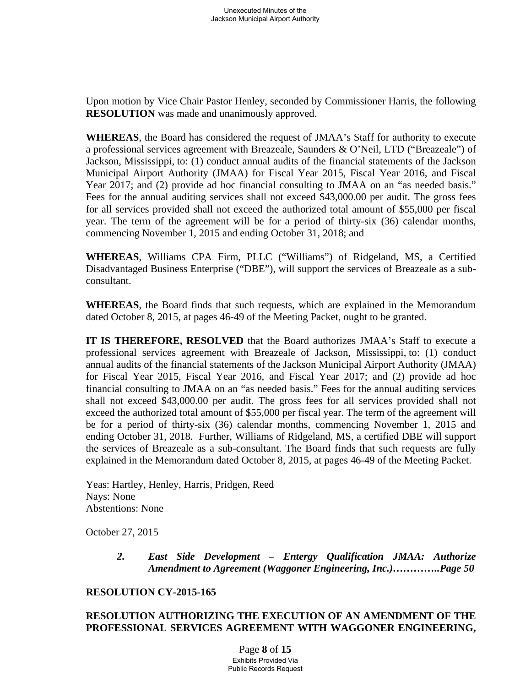Upon motion by Vice Chair Pastor Henley, seconded by Commissioner Harris, the following **RESOLUTION** was made and unanimously approved.

**WHEREAS**, the Board has considered the request of JMAA's Staff for authority to execute a professional services agreement with Breazeale, Saunders & O'Neil, LTD ("Breazeale") of Jackson, Mississippi, to: (1) conduct annual audits of the financial statements of the Jackson Municipal Airport Authority (JMAA) for Fiscal Year 2015, Fiscal Year 2016, and Fiscal Year 2017; and (2) provide ad hoc financial consulting to JMAA on an "as needed basis." Fees for the annual auditing services shall not exceed \$43,000.00 per audit. The gross fees for all services provided shall not exceed the authorized total amount of \$55,000 per fiscal year. The term of the agreement will be for a period of thirty-six (36) calendar months, commencing November 1, 2015 and ending October 31, 2018; and

**WHEREAS**, Williams CPA Firm, PLLC ("Williams") of Ridgeland, MS, a Certified Disadvantaged Business Enterprise ("DBE"), will support the services of Breazeale as a sub consultant.

**WHEREAS**, the Board finds that such requests, which are explained in the Memorandum dated October 8, 2015, at pages 46-49 of the Meeting Packet, ought to be granted.

**IT IS THEREFORE, RESOLVED** that the Board authorizes JMAA's Staff to execute a professional services agreement with Breazeale of Jackson, Mississippi, to: (1) conduct annual audits of the financial statements of the Jackson Municipal Airport Authority (JMAA) for Fiscal Year 2015, Fiscal Year 2016, and Fiscal Year 2017; and (2) provide ad hoc financial consulting to JMAA on an "as needed basis." Fees for the annual auditing services shall not exceed \$43,000.00 per audit. The gross fees for all services provided shall not exceed the authorized total amount of \$55,000 per fiscal year. The term of the agreement will be for a period of thirty-six (36) calendar months, commencing November 1, 2015 and ending October 31, 2018. Further, Williams of Ridgeland, MS, a certified DBE will support the services of Breazeale as a sub-consultant. The Board finds that such requests are fully explained in the Memorandum dated October 8, 2015, at pages 46-49 of the Meeting Packet.

 Yeas: Hartley, Henley, Harris, Pridgen, Reed Nays: None Abstentions: None

October 27, 2015

 *2. East Side Development – Entergy Qualification JMAA: Authorize Amendment to Agreement (Waggoner Engineering, Inc.)…………..Page 50* 

### **RESOLUTION CY-2015-165**

# **RESOLUTION AUTHORIZING THE EXECUTION OF AN AMENDMENT OF THE PROFESSIONAL SERVICES AGREEMENT WITH WAGGONER ENGINEERING,**

Page **8** of **15** Exhibits Provided Via Public Records Request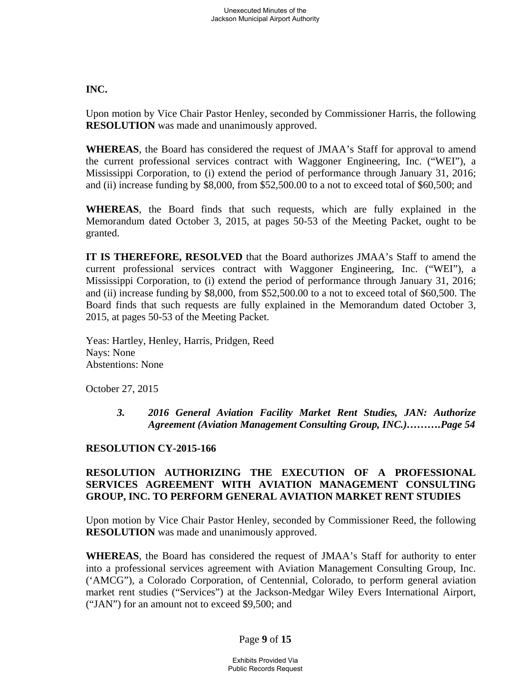**INC.** 

Upon motion by Vice Chair Pastor Henley, seconded by Commissioner Harris, the following **RESOLUTION** was made and unanimously approved.

**WHEREAS**, the Board has considered the request of JMAA's Staff for approval to amend the current professional services contract with Waggoner Engineering, Inc. ("WEI"), a Mississippi Corporation, to (i) extend the period of performance through January 31, 2016; and (ii) increase funding by \$8,000, from \$52,500.00 to a not to exceed total of \$60,500; and

**WHEREAS**, the Board finds that such requests, which are fully explained in the Memorandum dated October 3, 2015, at pages 50-53 of the Meeting Packet, ought to be granted.

**IT IS THEREFORE, RESOLVED** that the Board authorizes JMAA's Staff to amend the current professional services contract with Waggoner Engineering, Inc. ("WEI"), a Mississippi Corporation, to (i) extend the period of performance through January 31, 2016; and (ii) increase funding by \$8,000, from \$52,500.00 to a not to exceed total of \$60,500. The Board finds that such requests are fully explained in the Memorandum dated October 3, 2015, at pages 50-53 of the Meeting Packet.

 Yeas: Hartley, Henley, Harris, Pridgen, Reed Nays: None Abstentions: None

October 27, 2015

 *3. 2016 General Aviation Facility Market Rent Studies, JAN: Authorize Agreement (Aviation Management Consulting Group, INC.)……….Page 54* 

# **RESOLUTION CY-2015-166**

# **RESOLUTION AUTHORIZING THE EXECUTION OF A PROFESSIONAL SERVICES AGREEMENT WITH AVIATION MANAGEMENT CONSULTING GROUP, INC. TO PERFORM GENERAL AVIATION MARKET RENT STUDIES**

Upon motion by Vice Chair Pastor Henley, seconded by Commissioner Reed, the following **RESOLUTION** was made and unanimously approved.

**WHEREAS**, the Board has considered the request of JMAA's Staff for authority to enter into a professional services agreement with Aviation Management Consulting Group, Inc. ('AMCG"), a Colorado Corporation, of Centennial, Colorado, to perform general aviation market rent studies ("Services") at the Jackson-Medgar Wiley Evers International Airport, ("JAN") for an amount not to exceed \$9,500; and

# Page **9** of **15**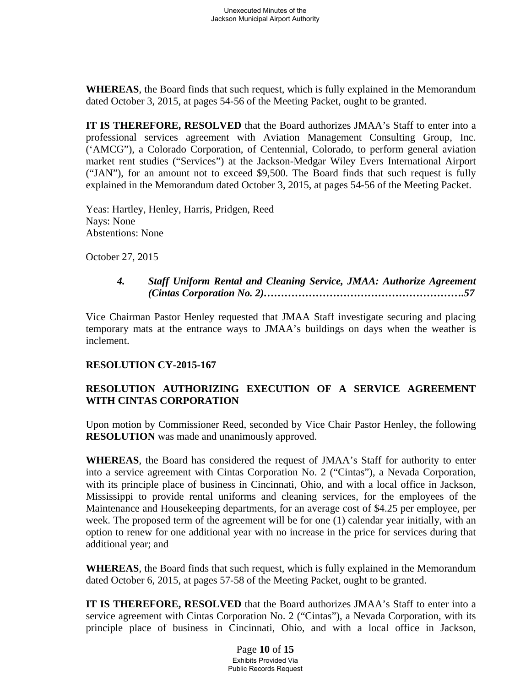**WHEREAS**, the Board finds that such request, which is fully explained in the Memorandum dated October 3, 2015, at pages 54-56 of the Meeting Packet, ought to be granted.

**IT IS THEREFORE, RESOLVED** that the Board authorizes JMAA's Staff to enter into a professional services agreement with Aviation Management Consulting Group, Inc. ('AMCG"), a Colorado Corporation, of Centennial, Colorado, to perform general aviation market rent studies ("Services") at the Jackson-Medgar Wiley Evers International Airport ("JAN"), for an amount not to exceed \$9,500. The Board finds that such request is fully explained in the Memorandum dated October 3, 2015, at pages 54-56 of the Meeting Packet.

 Yeas: Hartley, Henley, Harris, Pridgen, Reed Nays: None Abstentions: None

October 27, 2015

## *4. Staff Uniform Rental and Cleaning Service, JMAA: Authorize Agreement (Cintas Corporation No. 2)………………………………………………….57*

Vice Chairman Pastor Henley requested that JMAA Staff investigate securing and placing temporary mats at the entrance ways to JMAA's buildings on days when the weather is inclement.

# **RESOLUTION CY-2015-167**

# **RESOLUTION AUTHORIZING EXECUTION OF A SERVICE AGREEMENT WITH CINTAS CORPORATION**

Upon motion by Commissioner Reed, seconded by Vice Chair Pastor Henley, the following **RESOLUTION** was made and unanimously approved.

**WHEREAS**, the Board has considered the request of JMAA's Staff for authority to enter into a service agreement with Cintas Corporation No. 2 ("Cintas"), a Nevada Corporation, with its principle place of business in Cincinnati, Ohio, and with a local office in Jackson, Mississippi to provide rental uniforms and cleaning services, for the employees of the Maintenance and Housekeeping departments, for an average cost of \$4.25 per employee, per week. The proposed term of the agreement will be for one (1) calendar year initially, with an option to renew for one additional year with no increase in the price for services during that additional year; and

**WHEREAS**, the Board finds that such request, which is fully explained in the Memorandum dated October 6, 2015, at pages 57-58 of the Meeting Packet, ought to be granted.

**IT IS THEREFORE, RESOLVED** that the Board authorizes JMAA's Staff to enter into a service agreement with Cintas Corporation No. 2 ("Cintas"), a Nevada Corporation, with its principle place of business in Cincinnati, Ohio, and with a local office in Jackson,

> Page **10** of **15** Exhibits Provided Via Public Records Request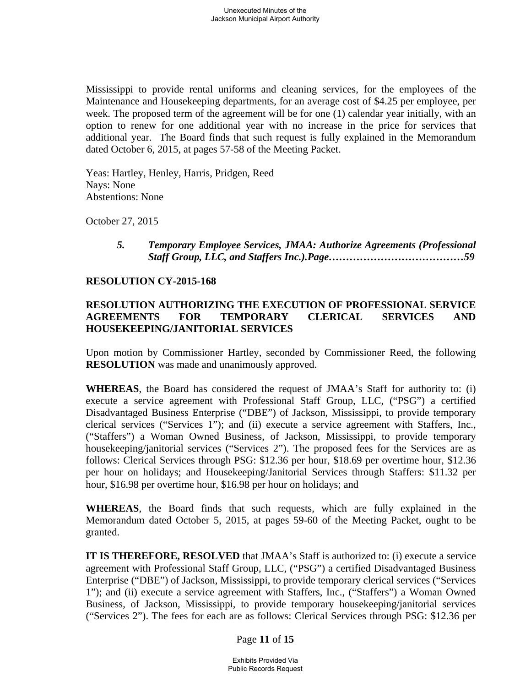Mississippi to provide rental uniforms and cleaning services, for the employees of the Maintenance and Housekeeping departments, for an average cost of \$4.25 per employee, per week. The proposed term of the agreement will be for one (1) calendar year initially, with an option to renew for one additional year with no increase in the price for services that additional year. The Board finds that such request is fully explained in the Memorandum dated October 6, 2015, at pages 57-58 of the Meeting Packet.

 Yeas: Hartley, Henley, Harris, Pridgen, Reed Nays: None Abstentions: None

October 27, 2015

 *5. Temporary Employee Services, JMAA: Authorize Agreements (Professional Staff Group, LLC, and Staffers Inc.).Page…………………………………59* 

### **RESOLUTION CY-2015-168**

## **RESOLUTION AUTHORIZING THE EXECUTION OF PROFESSIONAL SERVICE AGREEMENTS FOR TEMPORARY CLERICAL SERVICES AND HOUSEKEEPING/JANITORIAL SERVICES**

Upon motion by Commissioner Hartley, seconded by Commissioner Reed, the following **RESOLUTION** was made and unanimously approved.

**WHEREAS**, the Board has considered the request of JMAA's Staff for authority to: (i) execute a service agreement with Professional Staff Group, LLC, ("PSG") a certified Disadvantaged Business Enterprise ("DBE") of Jackson, Mississippi, to provide temporary clerical services ("Services 1"); and (ii) execute a service agreement with Staffers, Inc., ("Staffers") a Woman Owned Business, of Jackson, Mississippi, to provide temporary housekeeping/janitorial services ("Services 2"). The proposed fees for the Services are as follows: Clerical Services through PSG: \$12.36 per hour, \$18.69 per overtime hour, \$12.36 per hour on holidays; and Housekeeping/Janitorial Services through Staffers: \$11.32 per hour, \$16.98 per overtime hour, \$16.98 per hour on holidays; and

**WHEREAS**, the Board finds that such requests, which are fully explained in the Memorandum dated October 5, 2015, at pages 59-60 of the Meeting Packet, ought to be granted.

**IT IS THEREFORE, RESOLVED** that JMAA's Staff is authorized to: (i) execute a service agreement with Professional Staff Group, LLC, ("PSG") a certified Disadvantaged Business Enterprise ("DBE") of Jackson, Mississippi, to provide temporary clerical services ("Services 1"); and (ii) execute a service agreement with Staffers, Inc., ("Staffers") a Woman Owned Business, of Jackson, Mississippi, to provide temporary housekeeping/janitorial services ("Services 2"). The fees for each are as follows: Clerical Services through PSG: \$12.36 per

#### Page **11** of **15**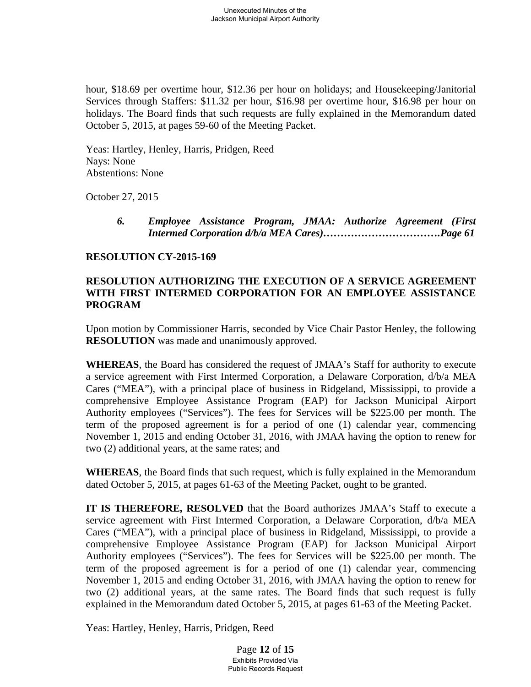hour, \$18.69 per overtime hour, \$12.36 per hour on holidays; and Housekeeping/Janitorial Services through Staffers: \$11.32 per hour, \$16.98 per overtime hour, \$16.98 per hour on holidays. The Board finds that such requests are fully explained in the Memorandum dated October 5, 2015, at pages 59-60 of the Meeting Packet.

 Yeas: Hartley, Henley, Harris, Pridgen, Reed Nays: None Abstentions: None

October 27, 2015

 *6. Employee Assistance Program, JMAA: Authorize Agreement (First Intermed Corporation d/b/a MEA Cares)…………………………….Page 61* 

### **RESOLUTION CY-2015-169**

## **RESOLUTION AUTHORIZING THE EXECUTION OF A SERVICE AGREEMENT WITH FIRST INTERMED CORPORATION FOR AN EMPLOYEE ASSISTANCE PROGRAM**

Upon motion by Commissioner Harris, seconded by Vice Chair Pastor Henley, the following **RESOLUTION** was made and unanimously approved.

**WHEREAS**, the Board has considered the request of JMAA's Staff for authority to execute a service agreement with First Intermed Corporation, a Delaware Corporation, d/b/a MEA Cares ("MEA"), with a principal place of business in Ridgeland, Mississippi, to provide a comprehensive Employee Assistance Program (EAP) for Jackson Municipal Airport Authority employees ("Services"). The fees for Services will be \$225.00 per month. The term of the proposed agreement is for a period of one (1) calendar year, commencing November 1, 2015 and ending October 31, 2016, with JMAA having the option to renew for two (2) additional years, at the same rates; and

**WHEREAS**, the Board finds that such request, which is fully explained in the Memorandum dated October 5, 2015, at pages 61-63 of the Meeting Packet, ought to be granted.

**IT IS THEREFORE, RESOLVED** that the Board authorizes JMAA's Staff to execute a service agreement with First Intermed Corporation, a Delaware Corporation, d/b/a MEA Cares ("MEA"), with a principal place of business in Ridgeland, Mississippi, to provide a comprehensive Employee Assistance Program (EAP) for Jackson Municipal Airport Authority employees ("Services"). The fees for Services will be \$225.00 per month. The term of the proposed agreement is for a period of one (1) calendar year, commencing November 1, 2015 and ending October 31, 2016, with JMAA having the option to renew for two (2) additional years, at the same rates. The Board finds that such request is fully explained in the Memorandum dated October 5, 2015, at pages 61-63 of the Meeting Packet.

Yeas: Hartley, Henley, Harris, Pridgen, Reed

Page **12** of **15** Exhibits Provided Via Public Records Request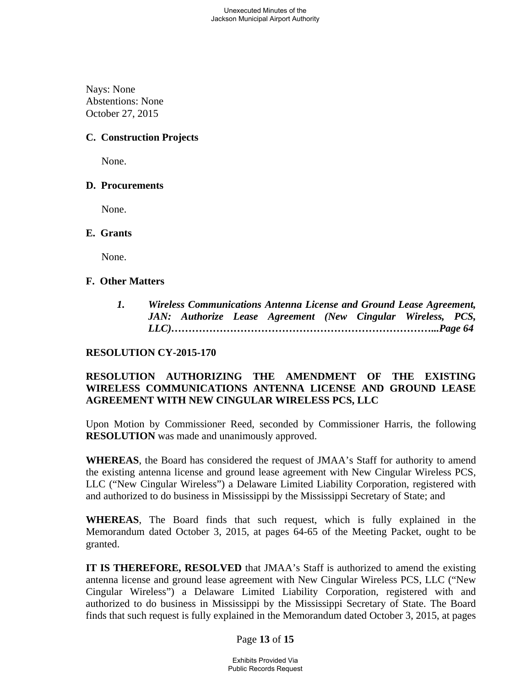Nays: None Abstentions: None October 27, 2015

# **C. Construction Projects**

None.

## **D. Procurements**

None.

### **E. Grants**

None.

## **F. Other Matters**

*1. Wireless Communications Antenna License and Ground Lease Agreement, JAN: Authorize Lease Agreement (New Cingular Wireless, PCS, LLC)…………………………………………………………………...Page 64* 

# **RESOLUTION CY-2015-170**

# **RESOLUTION AUTHORIZING THE AMENDMENT OF THE EXISTING WIRELESS COMMUNICATIONS ANTENNA LICENSE AND GROUND LEASE AGREEMENT WITH NEW CINGULAR WIRELESS PCS, LLC**

Upon Motion by Commissioner Reed, seconded by Commissioner Harris, the following **RESOLUTION** was made and unanimously approved.

**WHEREAS**, the Board has considered the request of JMAA's Staff for authority to amend the existing antenna license and ground lease agreement with New Cingular Wireless PCS, LLC ("New Cingular Wireless") a Delaware Limited Liability Corporation, registered with and authorized to do business in Mississippi by the Mississippi Secretary of State; and

**WHEREAS**, The Board finds that such request, which is fully explained in the Memorandum dated October 3, 2015, at pages 64-65 of the Meeting Packet, ought to be granted.

**IT IS THEREFORE, RESOLVED** that JMAA's Staff is authorized to amend the existing antenna license and ground lease agreement with New Cingular Wireless PCS, LLC ("New Cingular Wireless") a Delaware Limited Liability Corporation, registered with and authorized to do business in Mississippi by the Mississippi Secretary of State. The Board finds that such request is fully explained in the Memorandum dated October 3, 2015, at pages

### Page **13** of **15**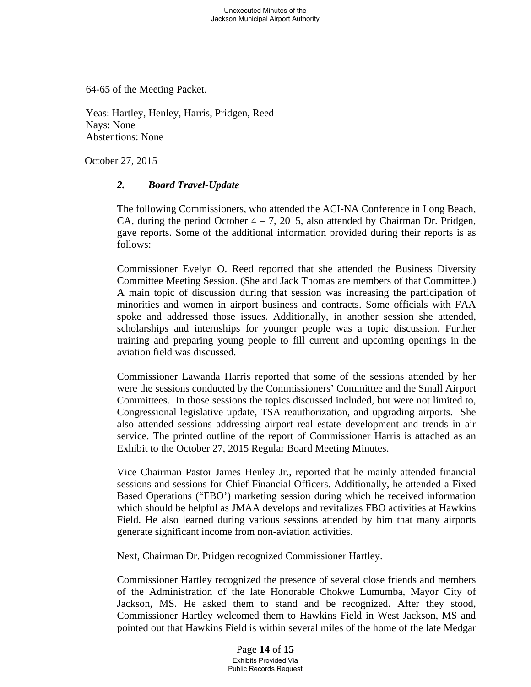64-65 of the Meeting Packet.

Yeas: Hartley, Henley, Harris, Pridgen, Reed Nays: None Abstentions: None

October 27, 2015

## *2. Board Travel-Update*

The following Commissioners, who attended the ACI-NA Conference in Long Beach, CA, during the period October  $4 - 7$ , 2015, also attended by Chairman Dr. Pridgen, gave reports. Some of the additional information provided during their reports is as follows:

Commissioner Evelyn O. Reed reported that she attended the Business Diversity Committee Meeting Session. (She and Jack Thomas are members of that Committee.) A main topic of discussion during that session was increasing the participation of minorities and women in airport business and contracts. Some officials with FAA spoke and addressed those issues. Additionally, in another session she attended, scholarships and internships for younger people was a topic discussion. Further training and preparing young people to fill current and upcoming openings in the aviation field was discussed.

Commissioner Lawanda Harris reported that some of the sessions attended by her were the sessions conducted by the Commissioners' Committee and the Small Airport Committees. In those sessions the topics discussed included, but were not limited to, Congressional legislative update, TSA reauthorization, and upgrading airports. She also attended sessions addressing airport real estate development and trends in air service. The printed outline of the report of Commissioner Harris is attached as an Exhibit to the October 27, 2015 Regular Board Meeting Minutes.

Vice Chairman Pastor James Henley Jr., reported that he mainly attended financial sessions and sessions for Chief Financial Officers. Additionally, he attended a Fixed Based Operations ("FBO') marketing session during which he received information which should be helpful as JMAA develops and revitalizes FBO activities at Hawkins Field. He also learned during various sessions attended by him that many airports generate significant income from non-aviation activities.

Next, Chairman Dr. Pridgen recognized Commissioner Hartley.

Commissioner Hartley recognized the presence of several close friends and members of the Administration of the late Honorable Chokwe Lumumba, Mayor City of Jackson, MS. He asked them to stand and be recognized. After they stood, Commissioner Hartley welcomed them to Hawkins Field in West Jackson, MS and pointed out that Hawkins Field is within several miles of the home of the late Medgar

> Page **14** of **15** Exhibits Provided Via Public Records Request